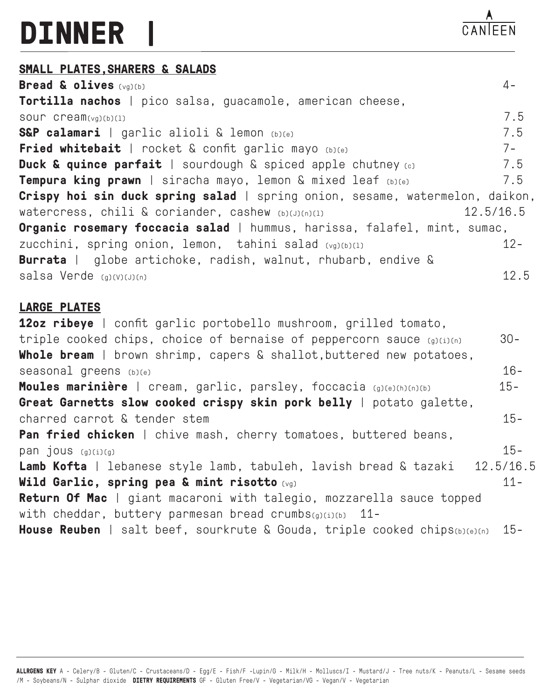## **DINNER |**

## **SMALL PLATES,SHARERS & SALADS**

**Bread & olives** (vg)(b) 4- **Tortilla nachos** | pico salsa, guacamole, american cheese, sour cream( $v<sub>q</sub>$ )(b)(1) 7.5 **S&P calamari** | garlic alioli & lemon (b)(e) 7.5 **Fried whitebait** | rocket & confit garlic mayo (b)(e) 7-**Duck & quince parfait** | sourdough & spiced apple chutney (c) 7.5 **Tempura king prawn** | siracha mayo, lemon & mixed leaf (b)(e) 7.5 **Crispy hoi sin duck spring salad** | spring onion, sesame, watermelon, daikon, Watercress, chili & coriander, cashew (b)(J)(n)(1) 12.5/16.5 **Organic rosemary foccacia salad** | hummus, harissa, falafel, mint, sumac, zucchini, spring onion, lemon, tahini salad (vg)(b)(1) 12-**Burrata** | globe artichoke, radish, walnut, rhubarb, endive & salsa Verde (g)(V)(J)(n) 12.5

## **LARGE PLATES**

**12oz ribeye** | confit garlic portobello mushroom, grilled tomato, triple cooked chips, choice of bernaise of peppercorn sauce  $(g)(i)(n)$  30-**Whole bream** | brown shrimp, capers & shallot,buttered new potatoes, seasonal greens  $_{\text{(b)(e)}}$  16-**Moules marinière** | cream, garlic, parsley, foccacia (g)(e)(h)(n)(b) 15- **Great Garnetts slow cooked crispy skin pork belly** | potato galette, charred carrot & tender stem 15- **Pan fried chicken** | chive mash, cherry tomatoes, buttered beans,  $p$ an jous  $_{(g)(i)(g)}$  15-**Lamb Kofta** | lebanese style lamb, tabuleh, lavish bread & tazaki 12.5/16.5 **Wild Garlic, spring pea & mint risotto** (vg) **11-Return Of Mac** | giant macaroni with talegio, mozzarella sauce topped with cheddar, buttery parmesan bread crumbs(g)(i)(b) 11-**House Reuben** | salt beef, sourkrute & Gouda, triple cooked chips(b)(e)(n) 15-